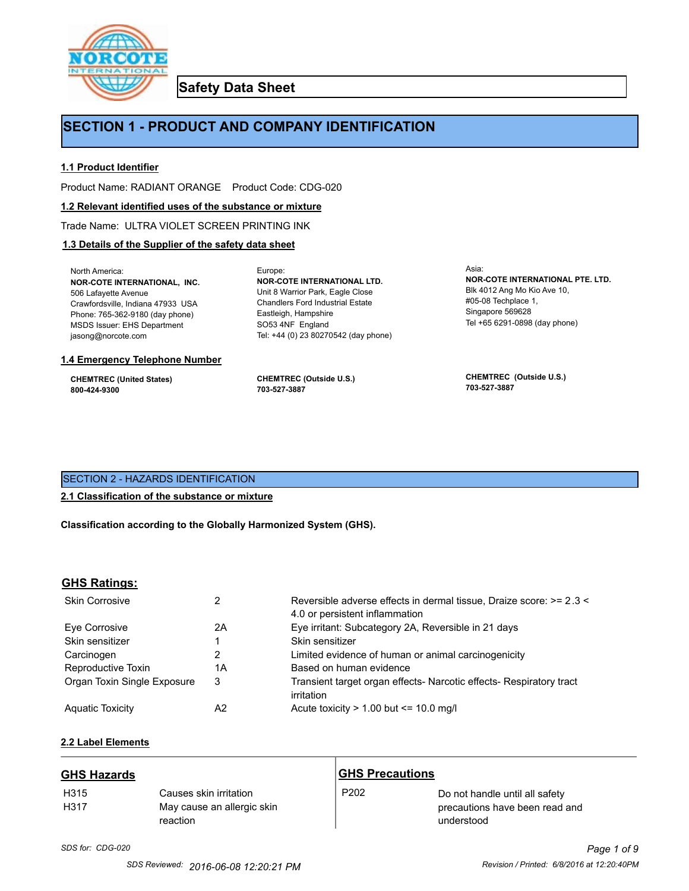

**Safety Data Sheet**

# **SECTION 1 - PRODUCT AND COMPANY IDENTIFICATION**

Europe:

## **1.1 Product Identifier**

Product Name: RADIANT ORANGE Product Code: CDG-020

## **1.2 Relevant identified uses of the substance or mixture**

Trade Name: ULTRA VIOLET SCREEN PRINTING INK

# **1.3 Details of the Supplier of the safety data sheet**

North America: **NOR-COTE INTERNATIONAL, INC.** 506 Lafayette Avenue Crawfordsville, Indiana 47933 USA Phone: 765-362-9180 (day phone) MSDS Issuer: EHS Department jasong@norcote.com

## **1.4 Emergency Telephone Number**

**CHEMTREC (United States) 800-424-9300**

**CHEMTREC (Outside U.S.) 703-527-3887**

Eastleigh, Hampshire SO53 4NF England

**NOR-COTE INTERNATIONAL LTD.** Unit 8 Warrior Park, Eagle Close Chandlers Ford Industrial Estate

Tel: +44 (0) 23 80270542 (day phone)

Asia: **NOR-COTE INTERNATIONAL PTE. LTD.** Blk 4012 Ang Mo Kio Ave 10, #05-08 Techplace 1, Singapore 569628 Tel +65 6291-0898 (day phone)

**CHEMTREC (Outside U.S.) 703-527-3887**

# SECTION 2 - HAZARDS IDENTIFICATION

# **2.1 Classification of the substance or mixture**

**Classification according to the Globally Harmonized System (GHS).**

# **GHS Ratings:**

| <b>Skin Corrosive</b>       | 2  | Reversible adverse effects in dermal tissue, Draize score: >= 2.3 <<br>4.0 or persistent inflammation |
|-----------------------------|----|-------------------------------------------------------------------------------------------------------|
| Eve Corrosive               | 2A | Eye irritant: Subcategory 2A, Reversible in 21 days                                                   |
| Skin sensitizer             |    | Skin sensitizer                                                                                       |
| Carcinogen                  |    | Limited evidence of human or animal carcinogenicity                                                   |
| Reproductive Toxin          | 1A | Based on human evidence                                                                               |
| Organ Toxin Single Exposure | 3  | Transient target organ effects- Narcotic effects- Respiratory tract<br>irritation                     |
| <b>Aguatic Toxicity</b>     | A2 | Acute toxicity $> 1.00$ but $\leq 10.0$ mg/l                                                          |

# **2.2 Label Elements**

| <b>GHS Hazards</b>       |                                                                  | <b>GHS Precautions</b> |                                                                                |
|--------------------------|------------------------------------------------------------------|------------------------|--------------------------------------------------------------------------------|
| H <sub>315</sub><br>H317 | Causes skin irritation<br>May cause an allergic skin<br>reaction | P <sub>202</sub>       | Do not handle until all safety<br>precautions have been read and<br>understood |

*SDS for: CDG-020 Page 1 of 9*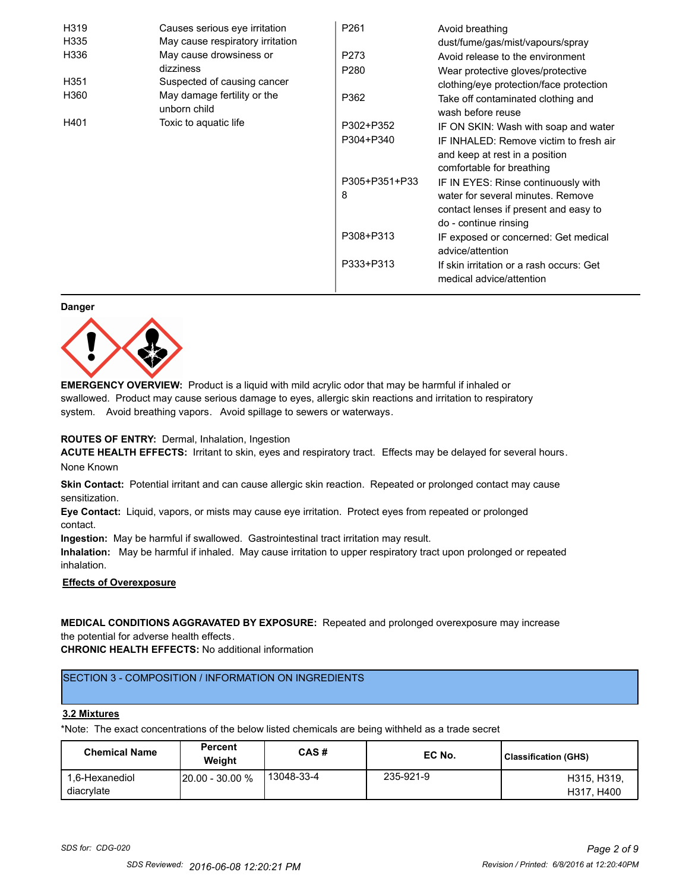| H319 | Causes serious eye irritation               | P <sub>261</sub> | Avoid breathing                                                      |
|------|---------------------------------------------|------------------|----------------------------------------------------------------------|
| H335 | May cause respiratory irritation            |                  | dust/fume/gas/mist/vapours/spray                                     |
| H336 | May cause drowsiness or                     | P273             | Avoid release to the environment                                     |
|      | dizziness                                   | P <sub>280</sub> | Wear protective gloves/protective                                    |
| H351 | Suspected of causing cancer                 |                  | clothing/eye protection/face protection                              |
| H360 | May damage fertility or the<br>unborn child | P362             | Take off contaminated clothing and<br>wash before reuse              |
| H401 | Toxic to aquatic life                       | P302+P352        | IF ON SKIN: Wash with soap and water                                 |
|      |                                             | P304+P340        | IF INHALED: Remove victim to fresh air                               |
|      |                                             |                  | and keep at rest in a position                                       |
|      |                                             |                  | comfortable for breathing                                            |
|      |                                             | P305+P351+P33    | IF IN EYES: Rinse continuously with                                  |
|      |                                             | 8                | water for several minutes. Remove                                    |
|      |                                             |                  | contact lenses if present and easy to                                |
|      |                                             |                  | do - continue rinsing                                                |
|      |                                             | P308+P313        | IF exposed or concerned: Get medical                                 |
|      |                                             |                  | advice/attention                                                     |
|      |                                             | P333+P313        | If skin irritation or a rash occurs: Get<br>medical advice/attention |

#### **Danger**



**EMERGENCY OVERVIEW:** Product is a liquid with mild acrylic odor that may be harmful if inhaled or swallowed. Product may cause serious damage to eyes, allergic skin reactions and irritation to respiratory system. Avoid breathing vapors. Avoid spillage to sewers or waterways.

## **ROUTES OF ENTRY:** Dermal, Inhalation, Ingestion

**ACUTE HEALTH EFFECTS:** Irritant to skin, eyes and respiratory tract. Effects may be delayed for several hours. None Known

**Skin Contact:** Potential irritant and can cause allergic skin reaction. Repeated or prolonged contact may cause sensitization.

**Eye Contact:** Liquid, vapors, or mists may cause eye irritation. Protect eyes from repeated or prolonged contact.

**Ingestion:** May be harmful if swallowed. Gastrointestinal tract irritation may result.

**Inhalation:** May be harmful if inhaled. May cause irritation to upper respiratory tract upon prolonged or repeated inhalation.

# **Effects of Overexposure**

# **MEDICAL CONDITIONS AGGRAVATED BY EXPOSURE:** Repeated and prolonged overexposure may increase the potential for adverse health effects.

**CHRONIC HEALTH EFFECTS:** No additional information

# SECTION 3 - COMPOSITION / INFORMATION ON INGREDIENTS

#### **3.2 Mixtures**

\*Note: The exact concentrations of the below listed chemicals are being withheld as a trade secret

| <b>Chemical Name</b>         | <b>Percent</b><br>Weiaht | CAS#       | EC No.    | Classification (GHS)      |
|------------------------------|--------------------------|------------|-----------|---------------------------|
| 1.6-Hexanediol<br>diacrylate | $120.00 - 30.00 %$       | 13048-33-4 | 235-921-9 | H315, H319,<br>H317, H400 |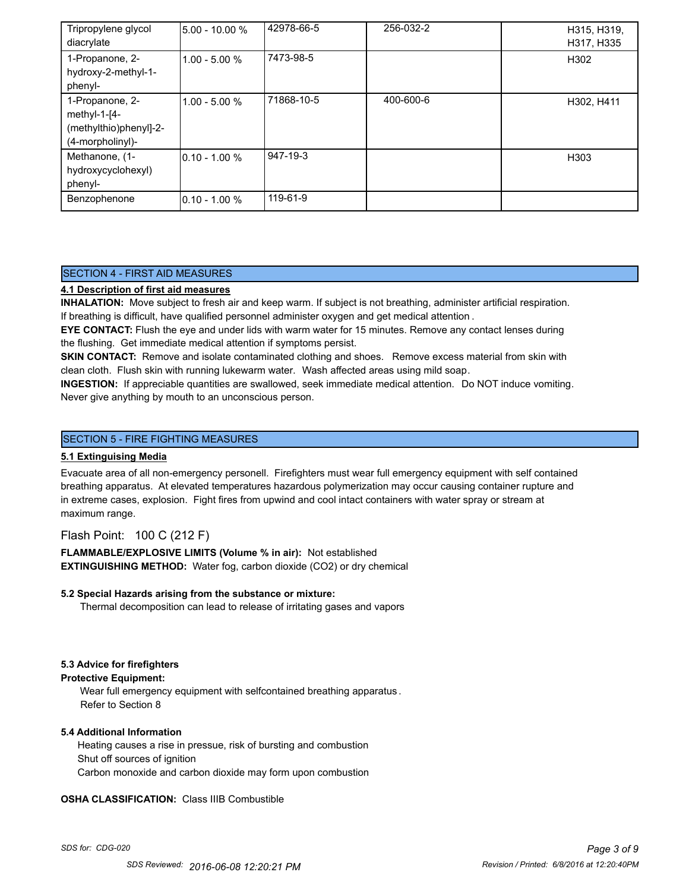| Tripropylene glycol<br>diacrylate                                             | 5.00 - 10.00 %   | 42978-66-5 | 256-032-2 | H315, H319,<br>H317, H335 |
|-------------------------------------------------------------------------------|------------------|------------|-----------|---------------------------|
| 1-Propanone, 2-<br>hydroxy-2-methyl-1-<br>phenyl-                             | $1.00 - 5.00 %$  | 7473-98-5  |           | H302                      |
| 1-Propanone, 2-<br>methyl-1-[4-<br>(methylthio)phenyl]-2-<br>(4-morpholinyl)- | $1.00 - 5.00 %$  | 71868-10-5 | 400-600-6 | H302, H411                |
| Methanone, (1-<br>hydroxycyclohexyl)<br>phenyl-                               | $0.10 - 1.00 %$  | 947-19-3   |           | H <sub>303</sub>          |
| Benzophenone                                                                  | $10.10 - 1.00 %$ | 119-61-9   |           |                           |

# SECTION 4 - FIRST AID MEASURES

# **4.1 Description of first aid measures**

**INHALATION:** Move subject to fresh air and keep warm. If subject is not breathing, administer artificial respiration. If breathing is difficult, have qualified personnel administer oxygen and get medical attention .

**EYE CONTACT:** Flush the eye and under lids with warm water for 15 minutes. Remove any contact lenses during the flushing. Get immediate medical attention if symptoms persist.

**SKIN CONTACT:** Remove and isolate contaminated clothing and shoes. Remove excess material from skin with clean cloth. Flush skin with running lukewarm water. Wash affected areas using mild soap.

**INGESTION:** If appreciable quantities are swallowed, seek immediate medical attention. Do NOT induce vomiting. Never give anything by mouth to an unconscious person.

# SECTION 5 - FIRE FIGHTING MEASURES

## **5.1 Extinguising Media**

Evacuate area of all non-emergency personell. Firefighters must wear full emergency equipment with self contained breathing apparatus. At elevated temperatures hazardous polymerization may occur causing container rupture and in extreme cases, explosion. Fight fires from upwind and cool intact containers with water spray or stream at maximum range.

# Flash Point: 100 C (212 F)

**FLAMMABLE/EXPLOSIVE LIMITS (Volume % in air):** Not established **EXTINGUISHING METHOD:** Water fog, carbon dioxide (CO2) or dry chemical

## **5.2 Special Hazards arising from the substance or mixture:**

Thermal decomposition can lead to release of irritating gases and vapors

## **5.3 Advice for firefighters**

#### **Protective Equipment:**

Wear full emergency equipment with selfcontained breathing apparatus . Refer to Section 8

## **5.4 Additional Information**

 Heating causes a rise in pressue, risk of bursting and combustion Shut off sources of ignition Carbon monoxide and carbon dioxide may form upon combustion

## **OSHA CLASSIFICATION:** Class IIIB Combustible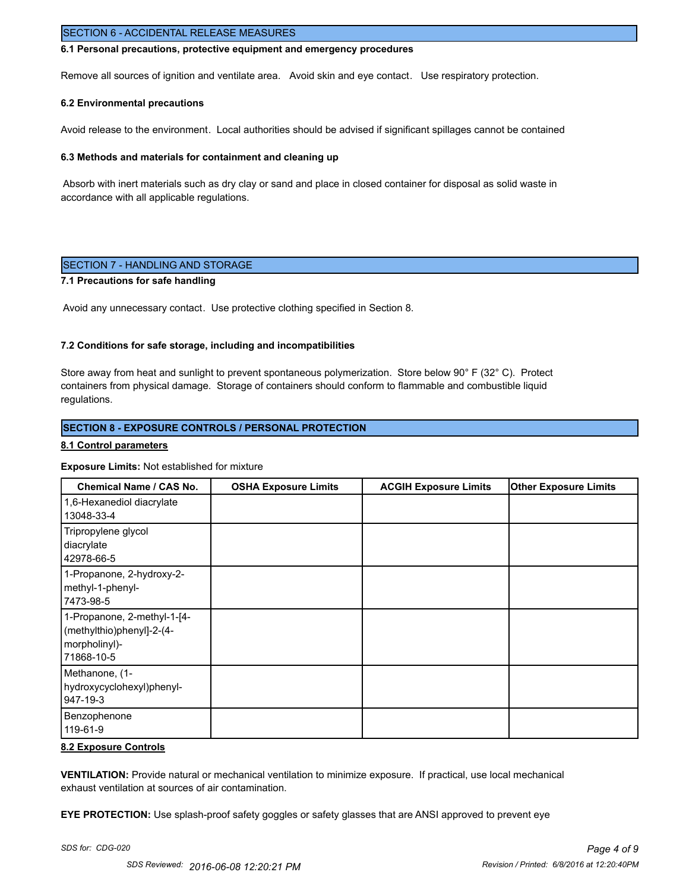## SECTION 6 - ACCIDENTAL RELEASE MEASURES

#### **6.1 Personal precautions, protective equipment and emergency procedures**

Remove all sources of ignition and ventilate area. Avoid skin and eye contact. Use respiratory protection.

#### **6.2 Environmental precautions**

Avoid release to the environment. Local authorities should be advised if significant spillages cannot be contained

#### **6.3 Methods and materials for containment and cleaning up**

 Absorb with inert materials such as dry clay or sand and place in closed container for disposal as solid waste in accordance with all applicable regulations.

## SECTION 7 - HANDLING AND STORAGE

#### **7.1 Precautions for safe handling**

Avoid any unnecessary contact. Use protective clothing specified in Section 8.

#### **7.2 Conditions for safe storage, including and incompatibilities**

Store away from heat and sunlight to prevent spontaneous polymerization. Store below 90° F (32° C). Protect containers from physical damage. Storage of containers should conform to flammable and combustible liquid regulations.

## **SECTION 8 - EXPOSURE CONTROLS / PERSONAL PROTECTION**

#### **8.1 Control parameters**

#### **Exposure Limits:** Not established for mixture

| <b>Chemical Name / CAS No.</b>                                                          | <b>OSHA Exposure Limits</b> | <b>ACGIH Exposure Limits</b> | <b>Other Exposure Limits</b> |
|-----------------------------------------------------------------------------------------|-----------------------------|------------------------------|------------------------------|
| 1,6-Hexanediol diacrylate<br>13048-33-4                                                 |                             |                              |                              |
| Tripropylene glycol<br>diacrylate<br>42978-66-5                                         |                             |                              |                              |
| 1-Propanone, 2-hydroxy-2-<br>methyl-1-phenyl-<br> 7473-98-5                             |                             |                              |                              |
| 1-Propanone, 2-methyl-1-[4-<br>(methylthio)phenyl]-2-(4-<br>morpholinyl)-<br>71868-10-5 |                             |                              |                              |
| Methanone, (1-<br>hydroxycyclohexyl)phenyl-<br>947-19-3                                 |                             |                              |                              |
| Benzophenone<br>119-61-9                                                                |                             |                              |                              |

## **8.2 Exposure Controls**

**VENTILATION:** Provide natural or mechanical ventilation to minimize exposure. If practical, use local mechanical exhaust ventilation at sources of air contamination.

**EYE PROTECTION:** Use splash-proof safety goggles or safety glasses that are ANSI approved to prevent eye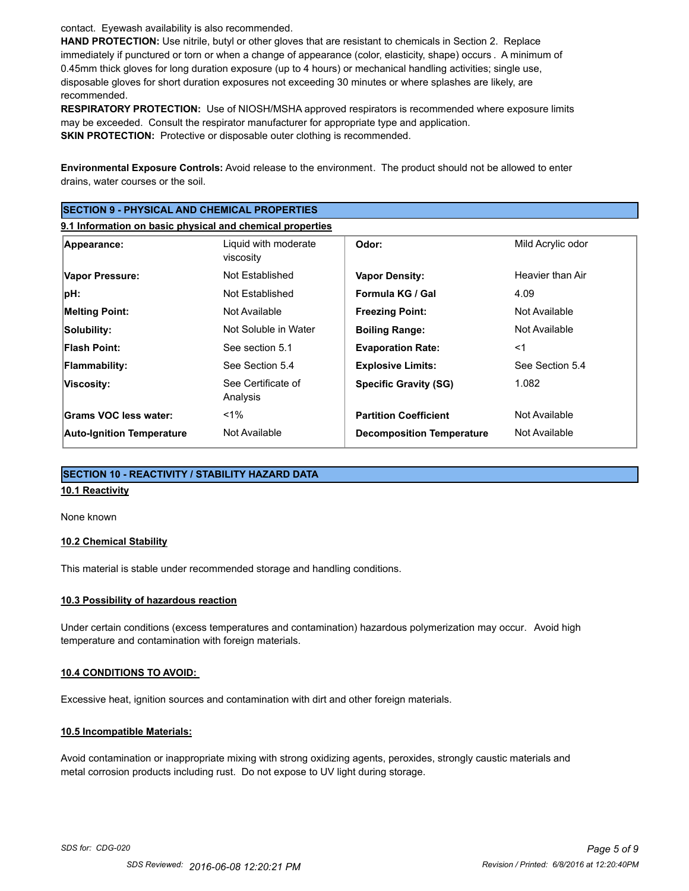contact. Eyewash availability is also recommended.

**HAND PROTECTION:** Use nitrile, butyl or other gloves that are resistant to chemicals in Section 2. Replace immediately if punctured or torn or when a change of appearance (color, elasticity, shape) occurs . A minimum of 0.45mm thick gloves for long duration exposure (up to 4 hours) or mechanical handling activities; single use, disposable gloves for short duration exposures not exceeding 30 minutes or where splashes are likely, are recommended.

**RESPIRATORY PROTECTION:** Use of NIOSH/MSHA approved respirators is recommended where exposure limits may be exceeded. Consult the respirator manufacturer for appropriate type and application. **SKIN PROTECTION:** Protective or disposable outer clothing is recommended.

**Environmental Exposure Controls:** Avoid release to the environment. The product should not be allowed to enter drains, water courses or the soil.

| <b>SECTION 9 - PHYSICAL AND CHEMICAL PROPERTIES</b>       |                                   |                                  |                   |
|-----------------------------------------------------------|-----------------------------------|----------------------------------|-------------------|
| 9.1 Information on basic physical and chemical properties |                                   |                                  |                   |
| Appearance:                                               | Liquid with moderate<br>viscosity | Odor:                            | Mild Acrylic odor |
| Vapor Pressure:                                           | Not Established                   | <b>Vapor Density:</b>            | Heavier than Air  |
| pH:                                                       | Not Established                   | Formula KG / Gal                 | 4.09              |
| <b>Melting Point:</b>                                     | Not Available                     | <b>Freezing Point:</b>           | Not Available     |
| Solubility:                                               | Not Soluble in Water              | <b>Boiling Range:</b>            | Not Available     |
| <b>Flash Point:</b>                                       | See section 5.1                   | <b>Evaporation Rate:</b>         | $<$ 1             |
| <b>Flammability:</b>                                      | See Section 5.4                   | <b>Explosive Limits:</b>         | See Section 5.4   |
| Viscosity:                                                | See Certificate of<br>Analysis    | <b>Specific Gravity (SG)</b>     | 1.082             |
| Grams VOC less water:                                     | $<$ 1%                            | <b>Partition Coefficient</b>     | Not Available     |
| <b>Auto-Ignition Temperature</b>                          | Not Available                     | <b>Decomposition Temperature</b> | Not Available     |

# **SECTION 10 - REACTIVITY / STABILITY HAZARD DATA**

# **10.1 Reactivity**

None known

## **10.2 Chemical Stability**

This material is stable under recommended storage and handling conditions.

## **10.3 Possibility of hazardous reaction**

Under certain conditions (excess temperatures and contamination) hazardous polymerization may occur. Avoid high temperature and contamination with foreign materials.

## **10.4 CONDITIONS TO AVOID:**

Excessive heat, ignition sources and contamination with dirt and other foreign materials.

## **10.5 Incompatible Materials:**

Avoid contamination or inappropriate mixing with strong oxidizing agents, peroxides, strongly caustic materials and metal corrosion products including rust. Do not expose to UV light during storage.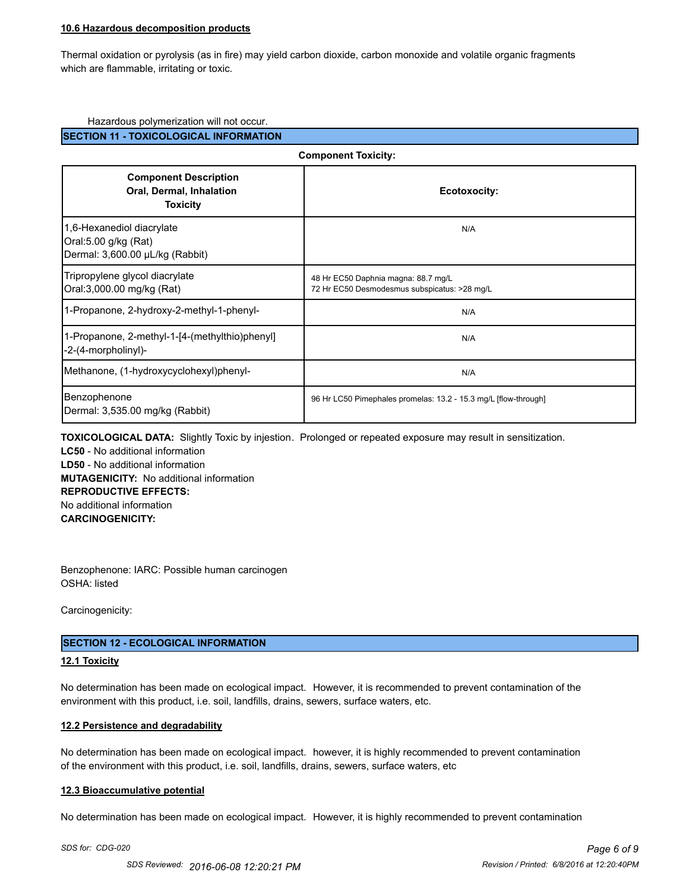#### **10.6 Hazardous decomposition products**

Thermal oxidation or pyrolysis (as in fire) may yield carbon dioxide, carbon monoxide and volatile organic fragments which are flammable, irritating or toxic.

## Hazardous polymerization will not occur.

## **SECTION 11 - TOXICOLOGICAL INFORMATION**

| <b>Component Toxicity:</b>                                                           |                                                                                     |  |
|--------------------------------------------------------------------------------------|-------------------------------------------------------------------------------------|--|
| <b>Component Description</b><br>Oral, Dermal, Inhalation<br><b>Toxicity</b>          | Ecotoxocity:                                                                        |  |
| 1,6-Hexanediol diacrylate<br>Oral:5.00 g/kg (Rat)<br>Dermal: 3,600.00 µL/kg (Rabbit) | N/A                                                                                 |  |
| Tripropylene glycol diacrylate<br>Oral:3,000.00 mg/kg (Rat)                          | 48 Hr EC50 Daphnia magna: 88.7 mg/L<br>72 Hr EC50 Desmodesmus subspicatus: >28 mg/L |  |
| 1-Propanone, 2-hydroxy-2-methyl-1-phenyl-                                            | N/A                                                                                 |  |
| 1-Propanone, 2-methyl-1-[4-(methylthio)phenyl]<br>-2-(4-morpholinyl)-                | N/A                                                                                 |  |
| Methanone, (1-hydroxycyclohexyl)phenyl-                                              | N/A                                                                                 |  |
| Benzophenone<br>Dermal: 3,535.00 mg/kg (Rabbit)                                      | 96 Hr LC50 Pimephales promelas: 13.2 - 15.3 mg/L [flow-through]                     |  |

**TOXICOLOGICAL DATA:** Slightly Toxic by injestion. Prolonged or repeated exposure may result in sensitization. **LC50** - No additional information **LD50** - No additional information **MUTAGENICITY:** No additional information **REPRODUCTIVE EFFECTS:** No additional information **CARCINOGENICITY:**

Benzophenone: IARC: Possible human carcinogen OSHA: listed

Carcinogenicity:

## **SECTION 12 - ECOLOGICAL INFORMATION**

#### **12.1 Toxicity**

No determination has been made on ecological impact. However, it is recommended to prevent contamination of the environment with this product, i.e. soil, landfills, drains, sewers, surface waters, etc.

#### **12.2 Persistence and degradability**

No determination has been made on ecological impact. however, it is highly recommended to prevent contamination of the environment with this product, i.e. soil, landfills, drains, sewers, surface waters, etc

#### **12.3 Bioaccumulative potential**

No determination has been made on ecological impact. However, it is highly recommended to prevent contamination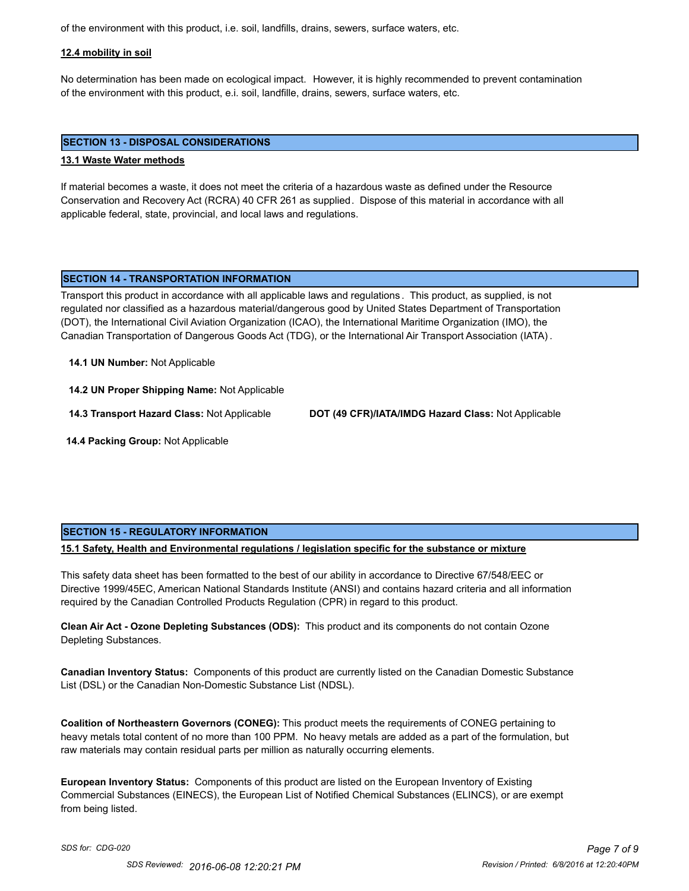of the environment with this product, i.e. soil, landfills, drains, sewers, surface waters, etc.

#### **12.4 mobility in soil**

No determination has been made on ecological impact. However, it is highly recommended to prevent contamination of the environment with this product, e.i. soil, landfille, drains, sewers, surface waters, etc.

#### **SECTION 13 - DISPOSAL CONSIDERATIONS**

#### **13.1 Waste Water methods**

If material becomes a waste, it does not meet the criteria of a hazardous waste as defined under the Resource Conservation and Recovery Act (RCRA) 40 CFR 261 as supplied. Dispose of this material in accordance with all applicable federal, state, provincial, and local laws and regulations.

## **SECTION 14 - TRANSPORTATION INFORMATION**

Transport this product in accordance with all applicable laws and regulations . This product, as supplied, is not regulated nor classified as a hazardous material/dangerous good by United States Department of Transportation (DOT), the International Civil Aviation Organization (ICAO), the International Maritime Organization (IMO), the Canadian Transportation of Dangerous Goods Act (TDG), or the International Air Transport Association (IATA) .

**14.1 UN Number:** Not Applicable

**14.2 UN Proper Shipping Name:** Not Applicable

**14.3 Transport Hazard Class:** Not Applicable **DOT (49 CFR)/IATA/IMDG Hazard Class:** Not Applicable

 **14.4 Packing Group:** Not Applicable

## **SECTION 15 - REGULATORY INFORMATION**

## **15.1 Safety, Health and Environmental regulations / legislation specific for the substance or mixture**

This safety data sheet has been formatted to the best of our ability in accordance to Directive 67/548/EEC or Directive 1999/45EC, American National Standards Institute (ANSI) and contains hazard criteria and all information required by the Canadian Controlled Products Regulation (CPR) in regard to this product.

**Clean Air Act - Ozone Depleting Substances (ODS):** This product and its components do not contain Ozone Depleting Substances.

**Canadian Inventory Status:** Components of this product are currently listed on the Canadian Domestic Substance List (DSL) or the Canadian Non-Domestic Substance List (NDSL).

**Coalition of Northeastern Governors (CONEG):** This product meets the requirements of CONEG pertaining to heavy metals total content of no more than 100 PPM. No heavy metals are added as a part of the formulation, but raw materials may contain residual parts per million as naturally occurring elements.

**European Inventory Status:** Components of this product are listed on the European Inventory of Existing Commercial Substances (EINECS), the European List of Notified Chemical Substances (ELINCS), or are exempt from being listed.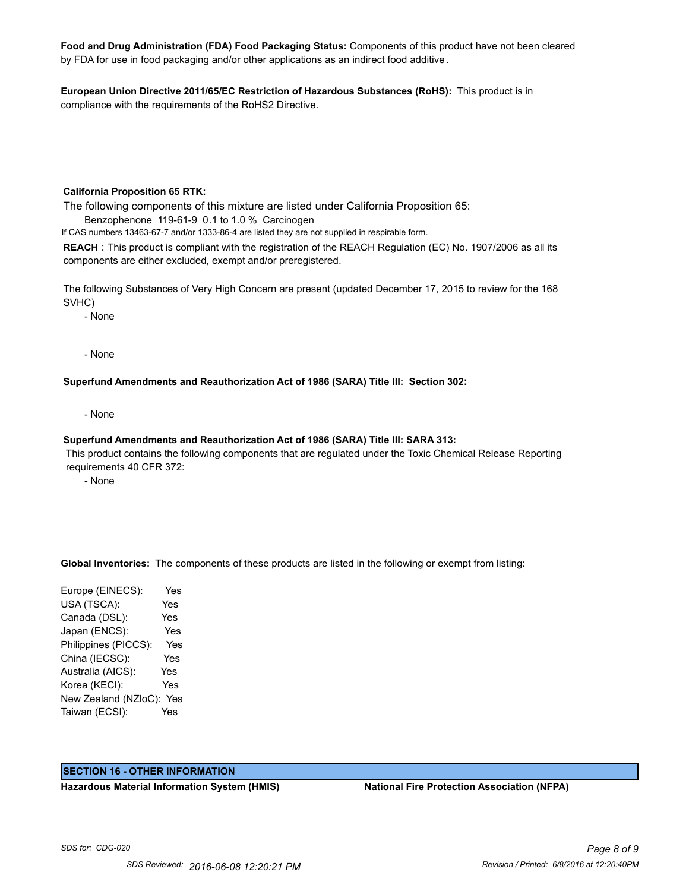**Food and Drug Administration (FDA) Food Packaging Status:** Components of this product have not been cleared by FDA for use in food packaging and/or other applications as an indirect food additive .

**European Union Directive 2011/65/EC Restriction of Hazardous Substances (RoHS):** This product is in compliance with the requirements of the RoHS2 Directive.

#### **California Proposition 65 RTK:**

The following components of this mixture are listed under California Proposition 65: Benzophenone 119-61-9 0.1 to 1.0 % Carcinogen

If CAS numbers 13463-67-7 and/or 1333-86-4 are listed they are not supplied in respirable form.

**REACH** : This product is compliant with the registration of the REACH Regulation (EC) No. 1907/2006 as all its components are either excluded, exempt and/or preregistered.

The following Substances of Very High Concern are present (updated December 17, 2015 to review for the 168 SVHC)

- None

- None

#### **Superfund Amendments and Reauthorization Act of 1986 (SARA) Title III: Section 302:**

- None

#### **Superfund Amendments and Reauthorization Act of 1986 (SARA) Title III: SARA 313:**

 This product contains the following components that are regulated under the Toxic Chemical Release Reporting requirements 40 CFR 372:

- None

**Global Inventories:** The components of these products are listed in the following or exempt from listing:

Europe (EINECS): Yes USA (TSCA): Yes Canada (DSL): Yes Japan (ENCS): Yes Philippines (PICCS): Yes China (IECSC): Yes Australia (AICS): Yes Korea (KECI): Yes New Zealand (NZloC): Yes Taiwan (ECSI): Yes

## **SECTION 16 - OTHER INFORMATION**

**Hazardous Material Information System (HMIS) National Fire Protection Association (NFPA)**